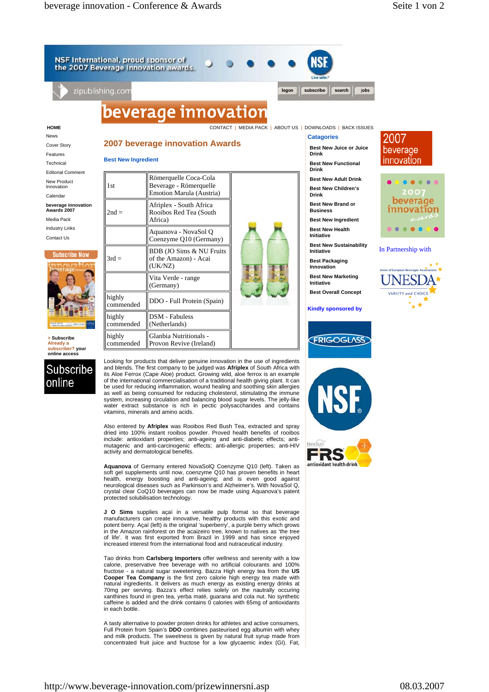NSF International, proud sponsor of the 2007 Beverage Innovation awards.

**Best New Ingredient**

1st

 $2nd =$ 

 $3rd =$ 

highly

highly commended

highly commended

zipublishing.con

## beverage innovation

Römerquelle Coca-Cola Beverage - Römerquelle Emotion Marula (Austria)

Afriplex - South Africa Rooibos Red Tea (South

Aquanova - NovaSol Q Coenzyme Q10 (Germany)

BDB (JO Sims & NU Fruits of the Amazon) - Acai

Africa)

(UK/NZ)

mgmy<br>commended DDO - Full Protein (Spain)

DSM - Fabuless (Netherlands)

Glanbia Nutritionals - Provon Revive (Ireland)

Vita Verde - range (Germany)

**2007 beverage innovation Awards**

**HOME** CONTACT | MEDIA PACK | ABOUT US | DOWNLOADS | BACK ISSUES

logon

## **Catagories**

subscribe

**Best New Juice or Juice Drink Best New Functional** 

search

jobs

- **Drink Best New Adult Drink Best New Children's**
- **Drink Best New Brand or**
- **Business Best New Ingredient**
- **Best New Health Initiative**

**Best New Sustainability Initiative**

**Best Packaging Innovation**

**Best New Marketing Initiative**

**Best Overall Concept**

**Kindly sponsored by**





## In Partnership with



News Cover Story

Features Technical Editorial Comment

New Product

Innovation Calendar

**beverage innovation Awards 2007**

Media Pack

Industry Links Contact Us

## **Subscribe Now**



**> Subscribe Already a subscriber? your online access**



Looking for products that deliver genuine innovation in the use of ingredients and blends. The first company to be judged was **Afriplex** of South Africa with its Aloe Ferrox (Cape Aloe) product. Growing wild, aloe ferrox is an example of the international commercialisation of a traditional health giving plant. It can be used for reducing inflammation, wound healing and soothing skin allergies as well as being consumed for reducing cholesterol, stimulating the immune system, increasing circulation and balancing blood sugar levels. The jelly-like water extract substance is rich in pectic polysaccharides and contains vitamins, minerals and amino acids.

Also entered by **Afriplex** was Rooibos Red Bush Tea, extracted and spray dried into 100% instant rooibos powder. Proved health benefits of rooibos include: antioxidant properties; anti-ageing and anti-diabetic effects; antimutagenic and anti-carcinogenic effects; anti-allergic properties; anti-HIV activity and dermatological benefits.

**Aquanova** of Germany entered NovaSolQ Coenzyme Q10 (left). Taken as soft gel supplements until now, coenzyme Q10 has proven benefits in heart health, energy boosting and anti-ageing; and is even good against neurological diseases such as Parkinson's and Alzheimer's. With NovaSol Q, crystal clear CoQ10 beverages can now be made using Aquanova's patent protected solubilisation technology.

**J O Sims** supplies açaí in a versatile pulp format so that beverage manufacturers can create innovative, healthy products with this exotic and potent berry. Açaí (left) is the original 'superberry', a purple berry which grows in the Amazon rainforest on the acaizeiro tree, known to natives as 'the tree of life'. It was first exported from Brazil in 1999 and has since enjoyed increased interest from the international food and nutraceutical industry.

Tao drinks from **Carlsberg Importers** offer wellness and serenity with a low calorie, preservative free beverage with no artificial colourants and 100% fructose - a natural sugar sweetening. Bazza High energy tea from the **US Cooper Tea Company** is the first zero calorie high energy tea made with natural ingredients. It delivers as much energy as existing energy drinks at 70mg per serving. Bazza's effect relies solely on the nautrally occuring xanthines found in gren tea, yerba maté, guarana and cola nut. No synthetic caffeine is added and the drink contains 0 calories with 65mg of antioxidants in each bottle.

A tasty alternative to powder protein drinks for athletes and active consumers,<br>Full Protein from Spain's **DDO** combines pasteurised egg albumin with whey<br>and milk products. The sweetness is given by natural fruit syrup ma concentrated fruit juice and fructose for a low glycaemic index (GI). Fat,